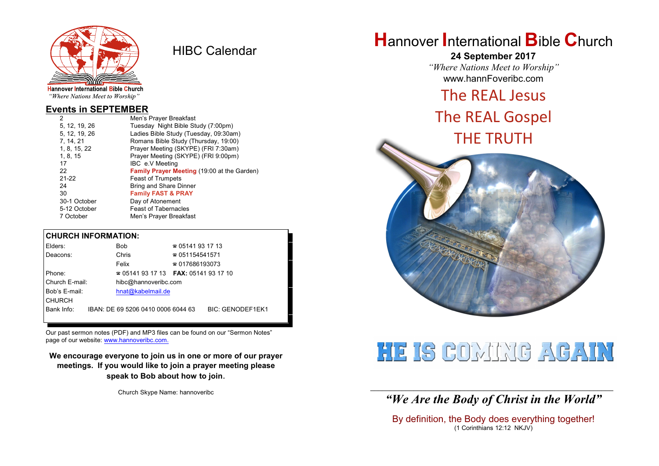

HIBC Calendar

# "Where Nations Meet to Worship"

#### **Events in SEPTEMBER**

| Men's Prayer Breakfast                             |
|----------------------------------------------------|
| Tuesday Night Bible Study (7:00pm)                 |
| Ladies Bible Study (Tuesday, 09:30am)              |
| Romans Bible Study (Thursday, 19:00)               |
| Prayer Meeting (SKYPE) (FRI 7:30am)                |
| Prayer Meeting (SKYPE) (FRI 9:00pm)                |
| IBC e.V Meeting                                    |
| <b>Family Prayer Meeting (19:00 at the Garden)</b> |
| <b>Feast of Trumpets</b>                           |
| Bring and Share Dinner                             |
| <b>Family FAST &amp; PRAY</b>                      |
| Day of Atonement                                   |
| <b>Feast of Tabernacles</b>                        |
| Men's Prayer Breakfast                             |
|                                                    |

#### **CHURCH INFORMATION:**

| Elders:        | Bob                                      | $\approx 05141931713$  |                         |
|----------------|------------------------------------------|------------------------|-------------------------|
| Deacons:       | Chris                                    | $\approx 051154541571$ |                         |
|                | Felix                                    | $\approx 017686193073$ |                         |
| Phone:         | $\approx 05141931713$ FAX: 0514193 17 10 |                        |                         |
| Church E-mail: | hibc@hannoveribc.com                     |                        |                         |
| Bob's E-mail:  | hnat@kabelmail.de                        |                        |                         |
| <b>CHURCH</b>  |                                          |                        |                         |
| Bank Info:     | IBAN: DE 69 5206 0410 0006 6044 63       |                        | <b>BIC: GENODEF1EK1</b> |
|                |                                          |                        |                         |

Our past sermon notes (PDF) and MP3 files can be found on our "Sermon Notes" page of our website: [www.hannoveribc.com.](http://www.hannoveribc.com.)

**We encourage everyone to join us in one or more of our prayer meetings. If you would like to join a prayer meeting please speak to Bob about how to join**.

Church Skype Name: hannoveribc

# **H**annover **I**nternational **B**ible **C**hurch

**24 September 2017** *"Where Nations Meet to Worship"* www.hannFoveribc.com

## The REAL Jesus

# The REAL Gospel THE TRUTH



# HE IS COMUNE ACAIN

\_\_\_\_\_\_\_\_\_\_\_\_\_\_\_\_\_\_\_\_\_\_\_\_\_\_\_\_\_\_\_\_\_\_\_\_\_\_\_\_\_\_\_\_\_\_\_\_\_\_\_\_\_\_\_\_\_\_\_\_\_\_ *"We Are the Body of Christ in the World"*

By definition, the Body does everything together! (1 Corinthians 12:12 NKJV)